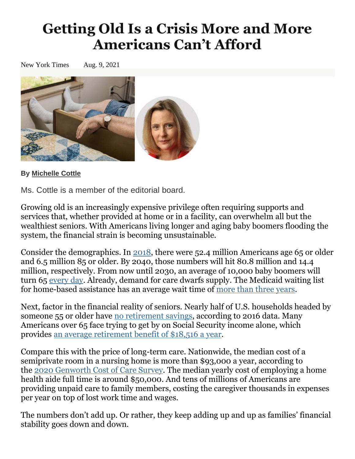## **Getting Old Is a Crisis More and More Americans Can't Afford**

New York Times Aug. 9, 2021



## **By [Michelle](https://www.nytimes.com/by/michelle-cottle) Cottle**

Ms. Cottle is a member of the editorial board.

Growing old is an increasingly expensive privilege often requiring supports and services that, whether provided at home or in a facility, can overwhelm all but the wealthiest seniors. With Americans living longer and aging baby boomers flooding the system, the financial strain is becoming unsustainable.

Consider the demographics. In [2018,](https://acl.gov/sites/default/files/Aging%20and%20Disability%20in%20America/2019ProfileOlderAmericans508.pdf) there were 52.4 million Americans age 65 or older and 6.5 million 85 or older. By 2040, those numbers will hit 80.8 million and 14.4 million, respectively. From now until 2030, an average of 10,000 baby boomers will turn 65 [every](https://www.census.gov/library/stories/2019/12/by-2030-all-baby-boomers-will-be-age-65-or-older.html) day. Already, demand for care dwarfs supply. The Medicaid waiting list for home-based assistance has an average wait time of more than three [years.](https://www.aging.senate.gov/imo/media/doc/CASEY%20Aging%20Newsletter%20Issue%201.1.pdf)

Next, factor in the financial reality of seniors. Nearly half of U.S. households headed by someone 55 or older have no [retirement](https://www.gao.gov/assets/gao-19-442r.pdf) savings, according to 2016 data. Many Americans over 65 face trying to get by on Social Security income alone, which provides an average [retirement](https://www.aarp.org/retirement/social-security/questions-answers/maximum-ss-benefit/) benefit of \$18,516 a year.

Compare this with the price of long-term care. Nationwide, the median cost of a semiprivate room in a nursing home is more than \$93,000 a year, according to the 2020 [Genworth](https://www.genworth.com/aging-and-you/finances/cost-of-care.html) Cost of Care Survey. The median yearly cost of employing a home health aide full time is around \$50,000. And tens of millions of Americans are providing unpaid care to family members, costing the caregiver thousands in expenses per year on top of lost work time and wages.

The numbers don't add up. Or rather, they keep adding up and up as families' financial stability goes down and down.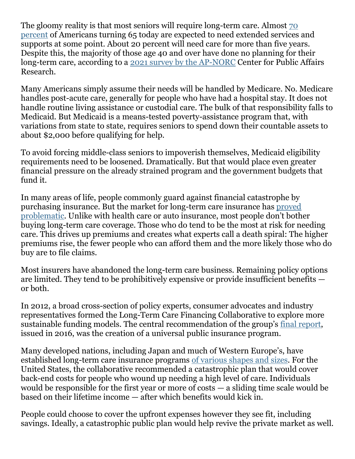The gloomy reality is that most seniors will require long-term care. Almost [70](https://acl.gov/ltc/basic-needs/how-much-care-will-you-need) [percent](https://acl.gov/ltc/basic-needs/how-much-care-will-you-need) of Americans turning 65 today are expected to need extended services and supports at some point. About 20 percent will need care for more than five years. Despite this, the majority of those age 40 and over have done no planning for their long-term care, according to a 2021 survey by the [AP-NORC](https://apnorc.org/projects/long-term-care-in-america-americans-want-to-age-at-home/) Center for Public Affairs Research.

Many Americans simply assume their needs will be handled by Medicare. No. Medicare handles post-acute care, generally for people who have had a hospital stay. It does not handle routine living assistance or custodial care. The bulk of that responsibility falls to Medicaid. But Medicaid is a means-tested poverty-assistance program that, with variations from state to state, requires seniors to spend down their countable assets to about \$2,000 before qualifying for help.

To avoid forcing middle-class seniors to impoverish themselves, Medicaid eligibility requirements need to be loosened. Dramatically. But that would place even greater financial pressure on the already strained program and the government budgets that fund it.

In many areas of life, people commonly guard against financial catastrophe by purchasing insurance. But the market for long-term care insurance has [proved](https://www.naic.org/documents/cipr_current_study_160519_ltc_insurance.pdf) [problematic.](https://www.naic.org/documents/cipr_current_study_160519_ltc_insurance.pdf) Unlike with health care or auto insurance, most people don't bother buying long-term care coverage. Those who do tend to be the most at risk for needing care. This drives up premiums and creates what experts call a death spiral: The higher premiums rise, the fewer people who can afford them and the more likely those who do buy are to file claims.

Most insurers have abandoned the long-term care business. Remaining policy options are limited. They tend to be prohibitively expensive or provide insufficient benefits or both.

In 2012, a broad cross-section of policy experts, consumer advocates and industry representatives formed the Long-Term Care Financing Collaborative to explore more sustainable funding models. The central recommendation of the group's final [report,](https://www.convergencepolicy.org/wp-content/uploads/2016/02/LTCFC-FINAL-REPORT-Feb-2016.pdf) issued in 2016, was the creation of a universal public insurance program.

Many developed nations, including Japan and much of Western Europe's, have established long-term care insurance programs of [various](https://www.dummies.com/health/what-long-term-care-looks-like-around-the-world/) shapes and sizes. For the United States, the collaborative recommended a catastrophic plan that would cover back-end costs for people who wound up needing a high level of care. Individuals would be responsible for the first year or more of costs — a sliding time scale would be based on their lifetime income — after which benefits would kick in.

People could choose to cover the upfront expenses however they see fit, including savings. Ideally, a catastrophic public plan would help revive the private market as well.